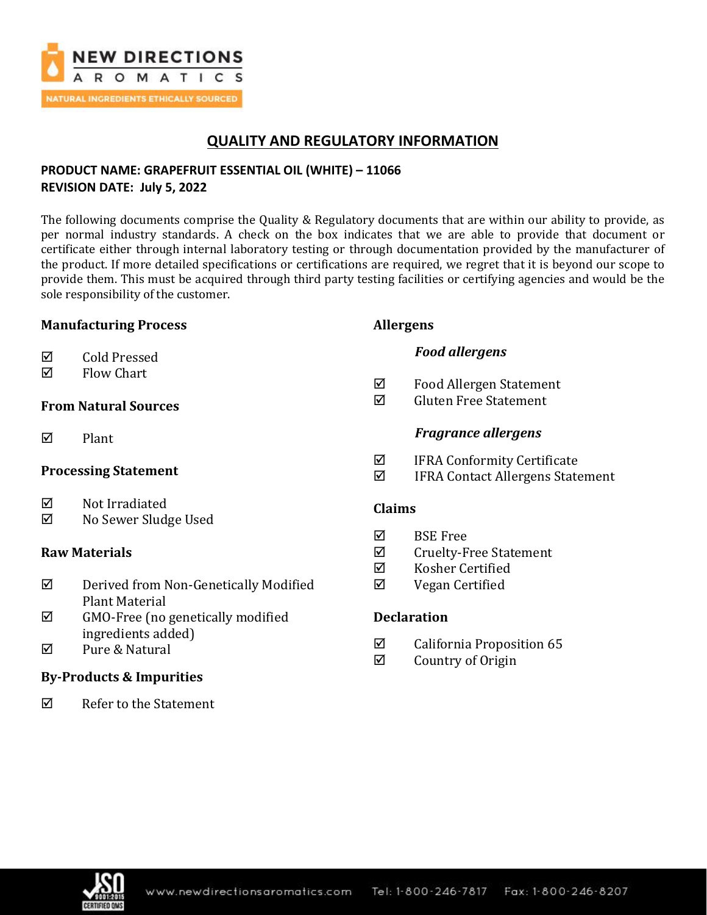

# **QUALITY AND REGULATORY INFORMATION**

# **PRODUCT NAME: GRAPEFRUIT ESSENTIAL OIL (WHITE) – 11066 REVISION DATE: July 5, 2022**

The following documents comprise the Quality & Regulatory documents that are within our ability to provide, as per normal industry standards. A check on the box indicates that we are able to provide that document or certificate either through internal laboratory testing or through documentation provided by the manufacturer of the product. If more detailed specifications or certifications are required, we regret that it is beyond our scope to provide them. This must be acquired through third party testing facilities or certifying agencies and would be the sole responsibility of the customer.

### **Manufacturing Process**

| ☑<br><b>Cold Pressed</b> |
|--------------------------|
|                          |

 $\nabla$  Flow Chart

# **From Natural Sources**

 $\nabla$  Plant

### **Processing Statement**

- **☑** Not Irradiated
- No Sewer Sludge Used

# **Raw Materials**

- Derived from Non-Genetically Modified Plant Material
- $\boxtimes$  GMO-Free (no genetically modified ingredients added)
- **Ø** Pure & Natural

# **By-Products & Impurities**

 $\nabla$  Refer to the Statement

# **Allergens**

# *Food allergens*

- $\boxtimes$  Food Allergen Statement
- $\boxtimes$  Gluten Free Statement

# *Fragrance allergens*

- $\boxtimes$  IFRA Conformity Certificate
- IFRA Contact Allergens Statement

### **Claims**

- $\nabla$  BSE Free
- $\boxtimes$  Cruelty-Free Statement
- $\boxtimes$  Kosher Certified
- Vegan Certified

# **Declaration**

- $\boxtimes$  California Proposition 65
- $\boxtimes$  Country of Origin

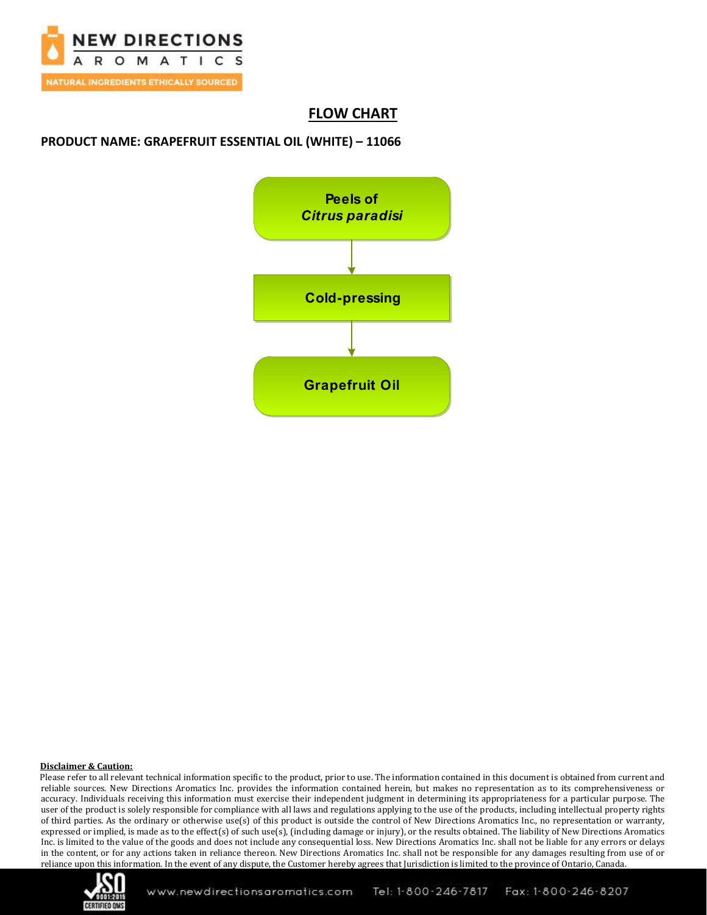

# **FLOW CHART**

### **PRODUCT NAME: GRAPEFRUIT ESSENTIAL OIL (WHITE) – 11066**



#### **Disclaimer & Caution:**

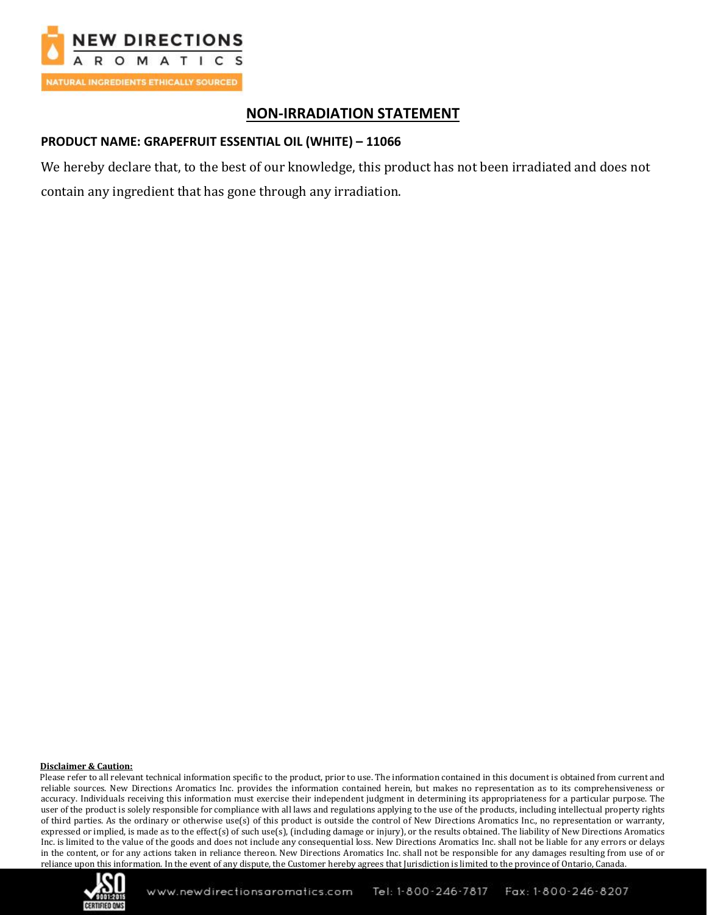

# **NON-IRRADIATION STATEMENT**

# **PRODUCT NAME: GRAPEFRUIT ESSENTIAL OIL (WHITE) – 11066**

We hereby declare that, to the best of our knowledge, this product has not been irradiated and does not contain any ingredient that has gone through any irradiation.

#### **Disclaimer & Caution:**

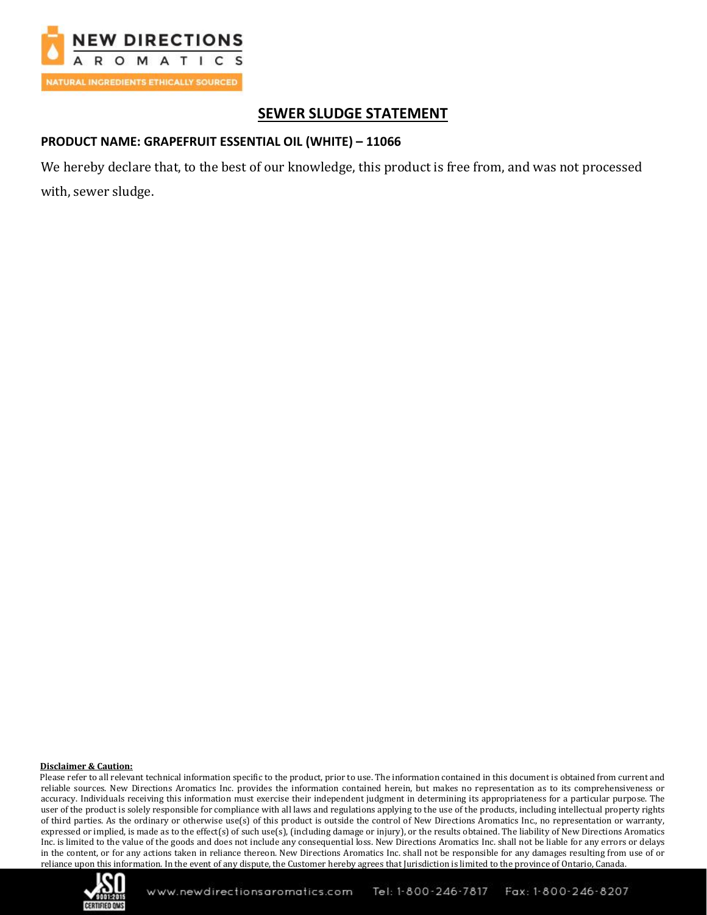

# **SEWER SLUDGE STATEMENT**

# **PRODUCT NAME: GRAPEFRUIT ESSENTIAL OIL (WHITE) – 11066**

We hereby declare that, to the best of our knowledge, this product is free from, and was not processed with, sewer sludge.

#### **Disclaimer & Caution:**

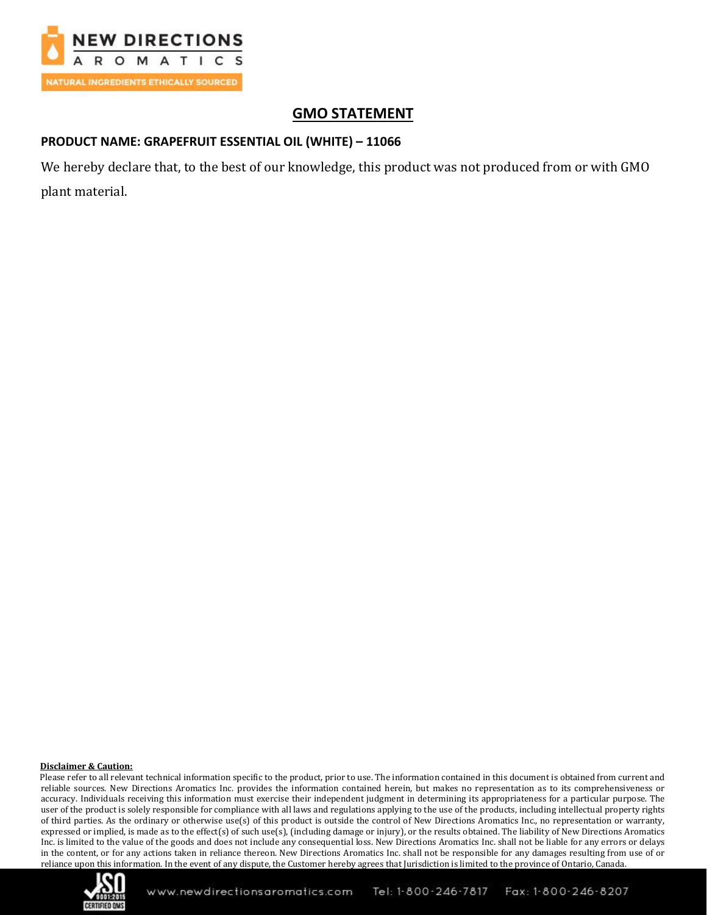

# **GMO STATEMENT**

# **PRODUCT NAME: GRAPEFRUIT ESSENTIAL OIL (WHITE) – 11066**

We hereby declare that, to the best of our knowledge, this product was not produced from or with GMO plant material.

#### **Disclaimer & Caution:**

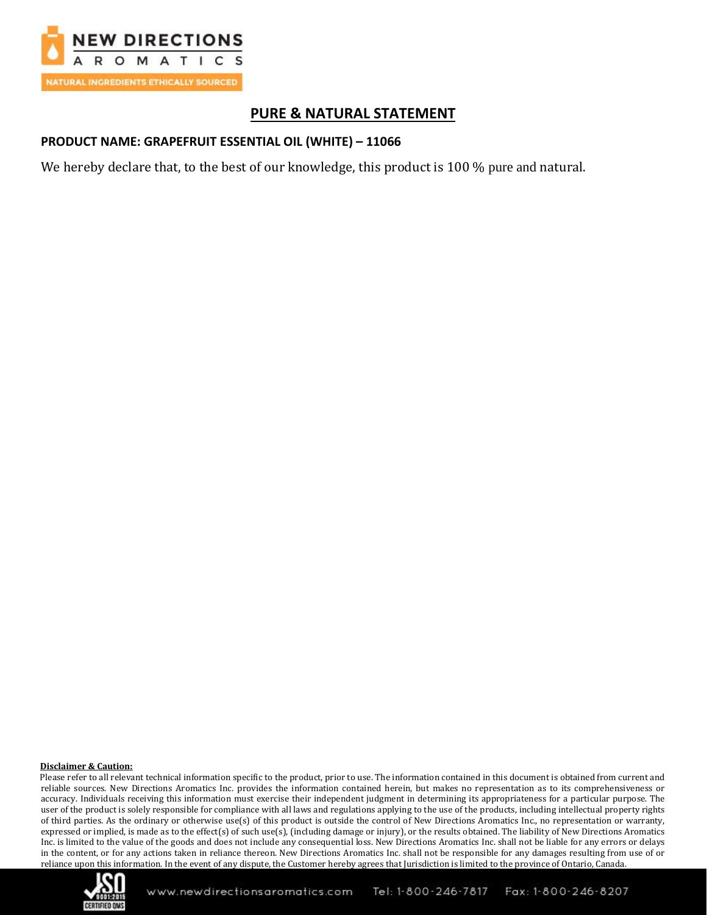

# **PURE & NATURAL STATEMENT**

### **PRODUCT NAME: GRAPEFRUIT ESSENTIAL OIL (WHITE) – 11066**

We hereby declare that, to the best of our knowledge, this product is 100 % pure and natural.

#### **Disclaimer & Caution:**

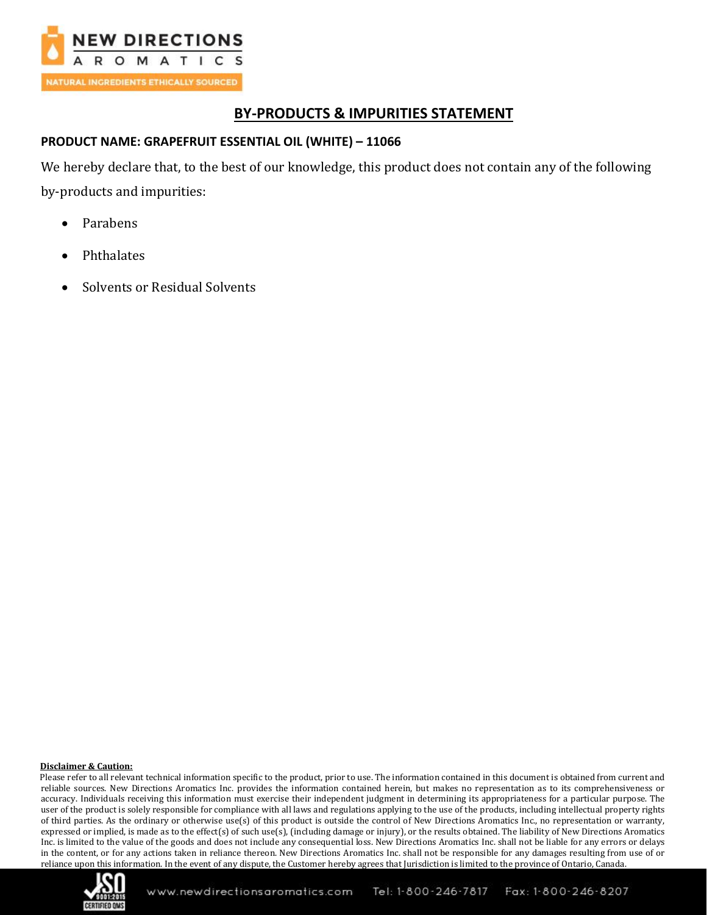

# **BY-PRODUCTS & IMPURITIES STATEMENT**

# **PRODUCT NAME: GRAPEFRUIT ESSENTIAL OIL (WHITE) – 11066**

We hereby declare that, to the best of our knowledge, this product does not contain any of the following by-products and impurities:

- Parabens
- **Phthalates**
- Solvents or Residual Solvents

### **Disclaimer & Caution:**

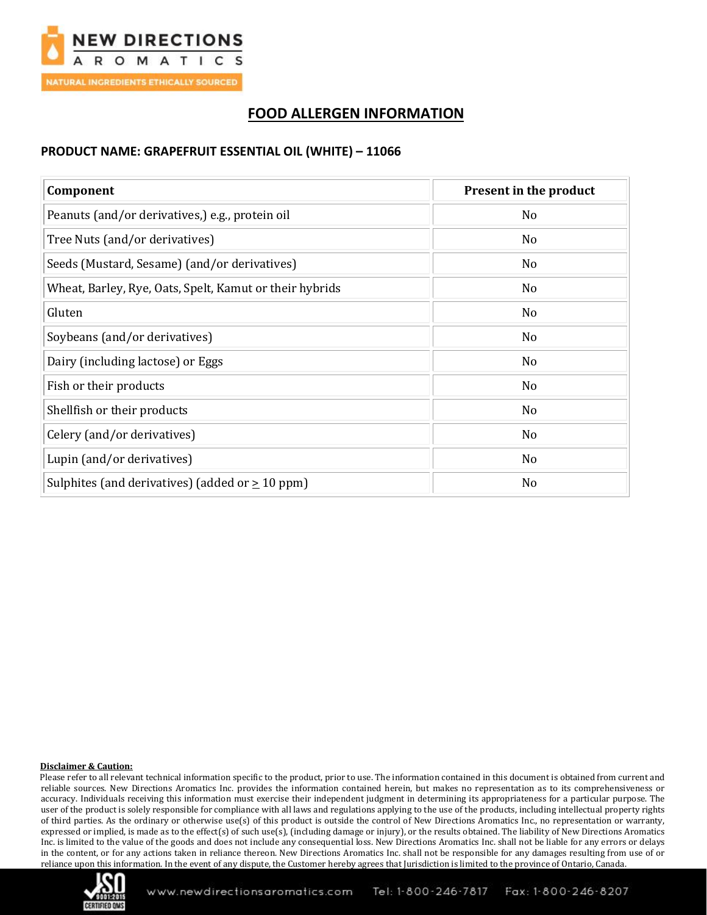

# **FOOD ALLERGEN INFORMATION**

### **PRODUCT NAME: GRAPEFRUIT ESSENTIAL OIL (WHITE) – 11066**

| Component                                               | Present in the product |  |
|---------------------------------------------------------|------------------------|--|
| Peanuts (and/or derivatives,) e.g., protein oil         | No                     |  |
| Tree Nuts (and/or derivatives)                          | N <sub>o</sub>         |  |
| Seeds (Mustard, Sesame) (and/or derivatives)            | N <sub>o</sub>         |  |
| Wheat, Barley, Rye, Oats, Spelt, Kamut or their hybrids | N <sub>0</sub>         |  |
| Gluten                                                  | N <sub>o</sub>         |  |
| Soybeans (and/or derivatives)                           | N <sub>o</sub>         |  |
| Dairy (including lactose) or Eggs                       | No                     |  |
| Fish or their products                                  | No                     |  |
| Shellfish or their products                             | No                     |  |
| Celery (and/or derivatives)                             | N <sub>o</sub>         |  |
| Lupin (and/or derivatives)                              | N <sub>o</sub>         |  |
| Sulphites (and derivatives) (added or $\geq$ 10 ppm)    | No                     |  |

#### **Disclaimer & Caution:**

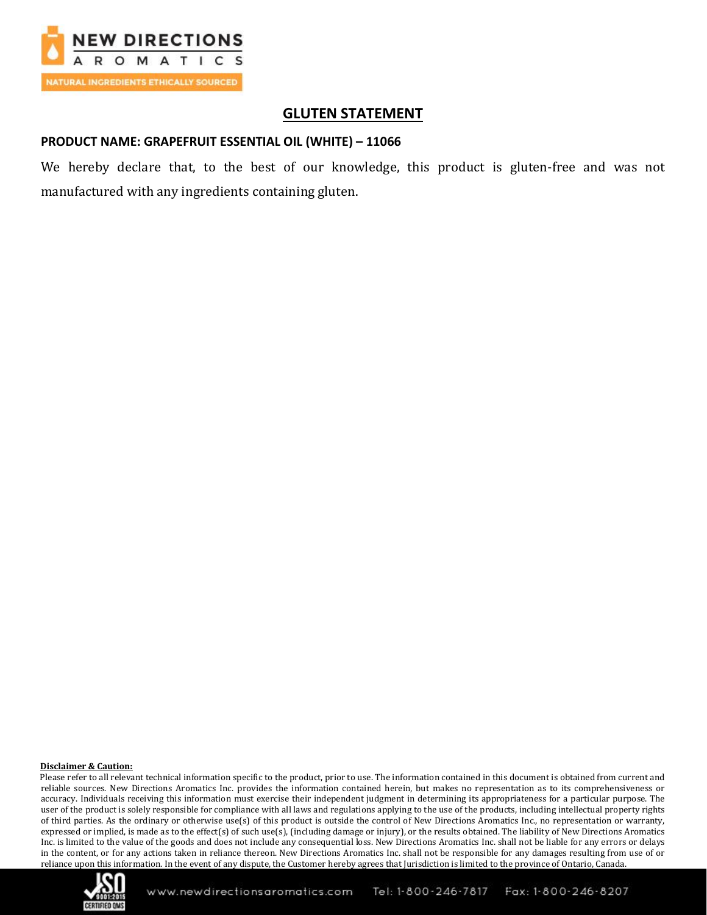

# **GLUTEN STATEMENT**

### **PRODUCT NAME: GRAPEFRUIT ESSENTIAL OIL (WHITE) – 11066**

We hereby declare that, to the best of our knowledge, this product is gluten-free and was not manufactured with any ingredients containing gluten.

#### **Disclaimer & Caution:**

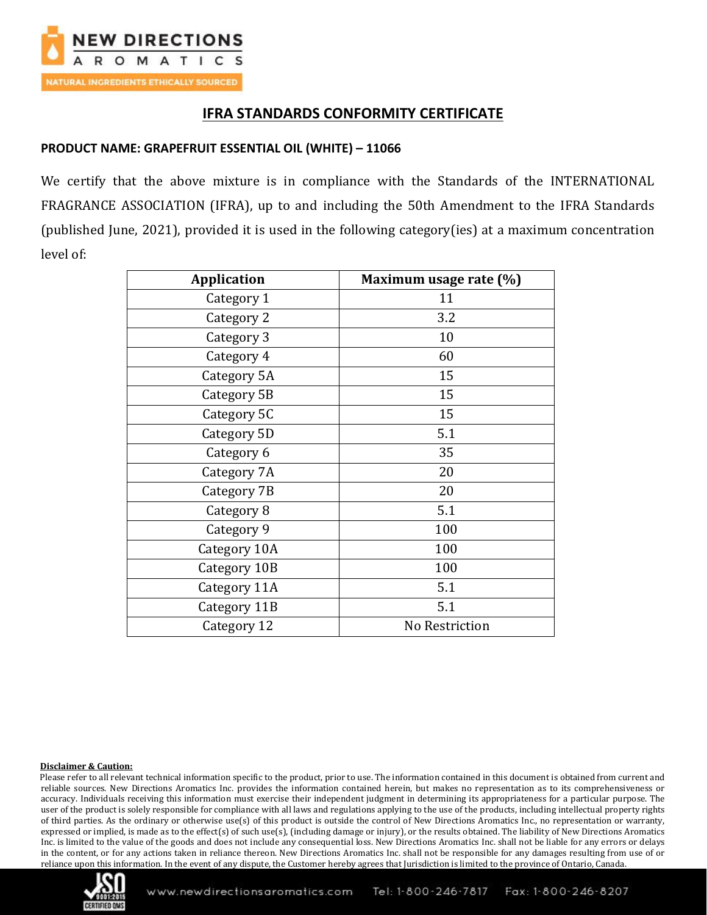

# **IFRA STANDARDS CONFORMITY CERTIFICATE**

### **PRODUCT NAME: GRAPEFRUIT ESSENTIAL OIL (WHITE) – 11066**

We certify that the above mixture is in compliance with the Standards of the INTERNATIONAL FRAGRANCE ASSOCIATION (IFRA), up to and including the 50th Amendment to the IFRA Standards (published June, 2021), provided it is used in the following category(ies) at a maximum concentration level of:

| <b>Application</b> | Maximum usage rate (%) |
|--------------------|------------------------|
| Category 1         | 11                     |
| Category 2         | 3.2                    |
| Category 3         | 10                     |
| Category 4         | 60                     |
| Category 5A        | 15                     |
| Category 5B        | 15                     |
| Category 5C        | 15                     |
| Category 5D        | 5.1                    |
| Category 6         | 35                     |
| Category 7A        | 20                     |
| Category 7B        | 20                     |
| Category 8         | 5.1                    |
| Category 9         | 100                    |
| Category 10A       | 100                    |
| Category 10B       | 100                    |
| Category 11A       | 5.1                    |
| Category 11B       | 5.1                    |
| Category 12        | No Restriction         |

#### **Disclaimer & Caution:**

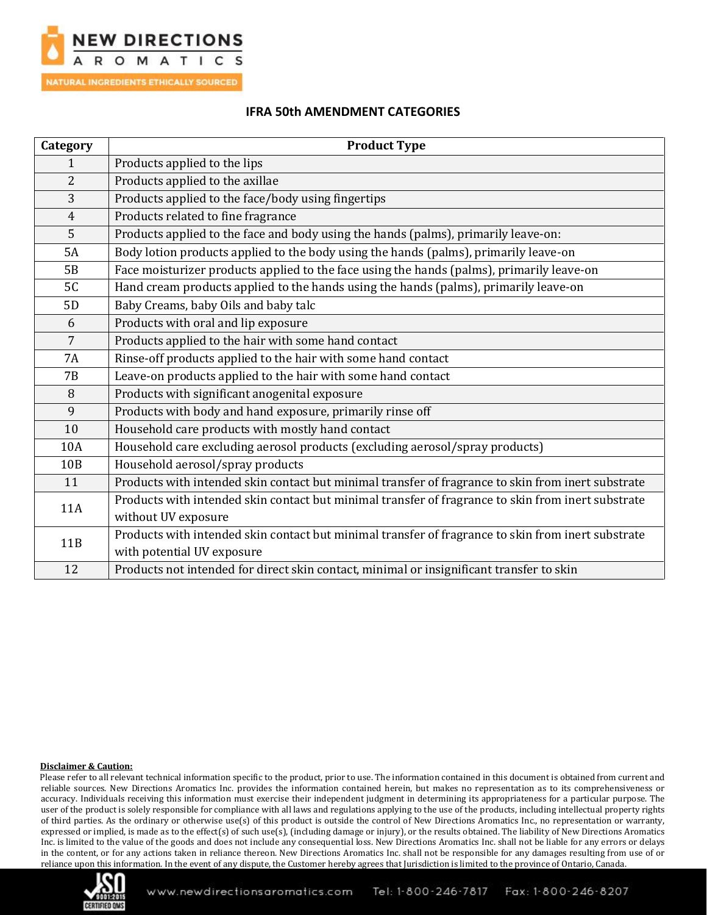

### **IFRA 50th AMENDMENT CATEGORIES**

| Category        | <b>Product Type</b>                                                                                |
|-----------------|----------------------------------------------------------------------------------------------------|
| $\mathbf{1}$    | Products applied to the lips                                                                       |
| $\overline{2}$  | Products applied to the axillae                                                                    |
| 3               | Products applied to the face/body using fingertips                                                 |
| $\overline{4}$  | Products related to fine fragrance                                                                 |
| 5               | Products applied to the face and body using the hands (palms), primarily leave-on:                 |
| 5A              | Body lotion products applied to the body using the hands (palms), primarily leave-on               |
| 5B              | Face moisturizer products applied to the face using the hands (palms), primarily leave-on          |
| 5C              | Hand cream products applied to the hands using the hands (palms), primarily leave-on               |
| 5D              | Baby Creams, baby Oils and baby talc                                                               |
| 6               | Products with oral and lip exposure                                                                |
| $\overline{7}$  | Products applied to the hair with some hand contact                                                |
| <b>7A</b>       | Rinse-off products applied to the hair with some hand contact                                      |
| <b>7B</b>       | Leave-on products applied to the hair with some hand contact                                       |
| 8               | Products with significant anogenital exposure                                                      |
| 9               | Products with body and hand exposure, primarily rinse off                                          |
| 10              | Household care products with mostly hand contact                                                   |
| 10A             | Household care excluding aerosol products (excluding aerosol/spray products)                       |
| 10 <sub>B</sub> | Household aerosol/spray products                                                                   |
| 11              | Products with intended skin contact but minimal transfer of fragrance to skin from inert substrate |
| <b>11A</b>      | Products with intended skin contact but minimal transfer of fragrance to skin from inert substrate |
|                 | without UV exposure                                                                                |
| 11B             | Products with intended skin contact but minimal transfer of fragrance to skin from inert substrate |
|                 | with potential UV exposure                                                                         |
| 12              | Products not intended for direct skin contact, minimal or insignificant transfer to skin           |

#### **Disclaimer & Caution:**

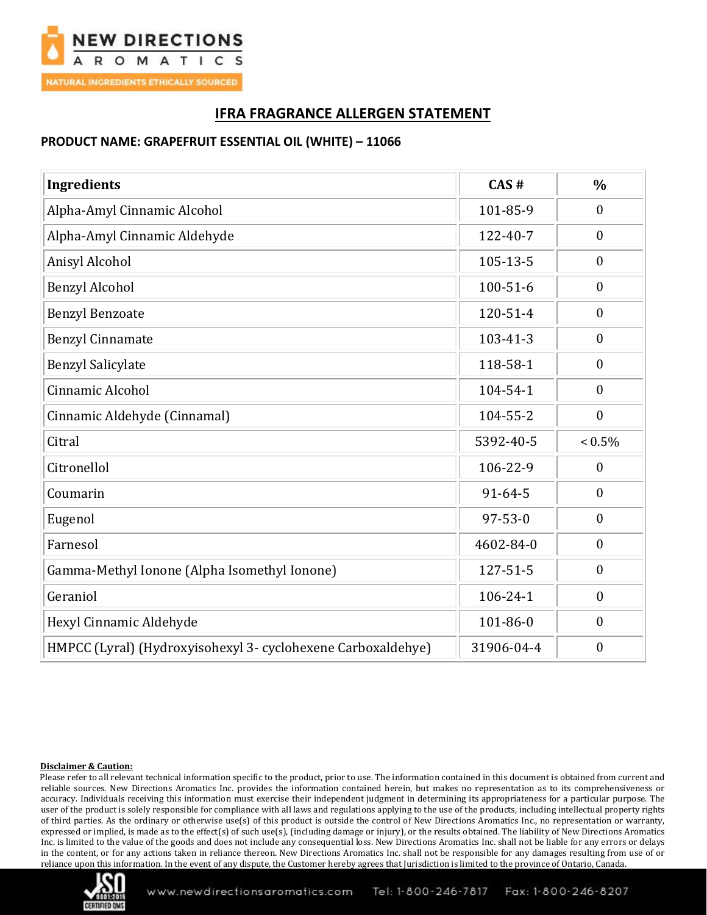

# **IFRA FRAGRANCE ALLERGEN STATEMENT**

# **PRODUCT NAME: GRAPEFRUIT ESSENTIAL OIL (WHITE) – 11066**

| <b>Ingredients</b>                                           | CAS#           | $\frac{0}{0}$    |
|--------------------------------------------------------------|----------------|------------------|
| Alpha-Amyl Cinnamic Alcohol                                  | 101-85-9       | $\boldsymbol{0}$ |
| Alpha-Amyl Cinnamic Aldehyde                                 | 122-40-7       | $\boldsymbol{0}$ |
| Anisyl Alcohol                                               | $105 - 13 - 5$ | $\boldsymbol{0}$ |
| <b>Benzyl Alcohol</b>                                        | $100 - 51 - 6$ | $\boldsymbol{0}$ |
| <b>Benzyl Benzoate</b>                                       | 120-51-4       | $\boldsymbol{0}$ |
| <b>Benzyl Cinnamate</b>                                      | $103 - 41 - 3$ | $\boldsymbol{0}$ |
| <b>Benzyl Salicylate</b>                                     | 118-58-1       | $\boldsymbol{0}$ |
| Cinnamic Alcohol                                             | 104-54-1       | $\boldsymbol{0}$ |
| Cinnamic Aldehyde (Cinnamal)                                 | 104-55-2       | $\boldsymbol{0}$ |
| Citral                                                       | 5392-40-5      | $< 0.5\%$        |
| Citronellol                                                  | 106-22-9       | $\boldsymbol{0}$ |
| Coumarin                                                     | $91 - 64 - 5$  | $\boldsymbol{0}$ |
| Eugenol                                                      | $97 - 53 - 0$  | $\boldsymbol{0}$ |
| Farnesol                                                     | 4602-84-0      | $\mathbf{0}$     |
| Gamma-Methyl Ionone (Alpha Isomethyl Ionone)                 | 127-51-5       | $\boldsymbol{0}$ |
| Geraniol                                                     | 106-24-1       | $\boldsymbol{0}$ |
| Hexyl Cinnamic Aldehyde                                      | 101-86-0       | $\boldsymbol{0}$ |
| HMPCC (Lyral) (Hydroxyisohexyl 3- cyclohexene Carboxaldehye) | 31906-04-4     | $\boldsymbol{0}$ |

#### **Disclaimer & Caution:**

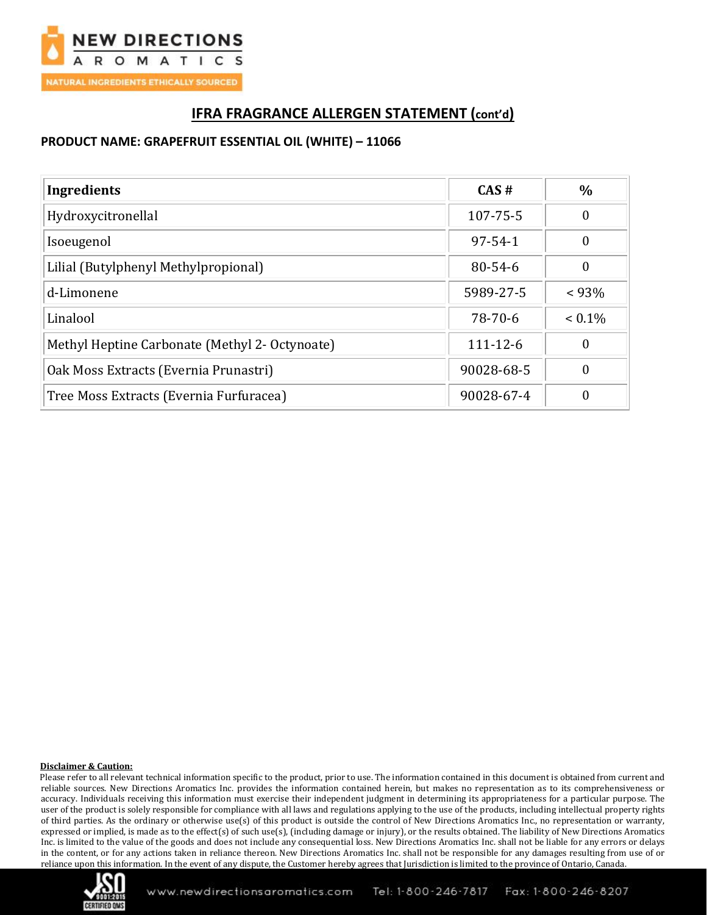

# **IFRA FRAGRANCE ALLERGEN STATEMENT (cont'd)**

# **PRODUCT NAME: GRAPEFRUIT ESSENTIAL OIL (WHITE) – 11066**

| Ingredients                                    | CAS#           | $\%$      |
|------------------------------------------------|----------------|-----------|
| Hydroxycitronellal                             | 107-75-5       | 0         |
| Isoeugenol                                     | $97 - 54 - 1$  | $\theta$  |
| Lilial (Butylphenyl Methylpropional)           | $80 - 54 - 6$  | 0         |
| d-Limonene                                     | 5989-27-5      | $< 93\%$  |
| Linalool                                       | 78-70-6        | $< 0.1\%$ |
| Methyl Heptine Carbonate (Methyl 2- Octynoate) | $111 - 12 - 6$ | 0         |
| Oak Moss Extracts (Evernia Prunastri)          | 90028-68-5     | 0         |
| Tree Moss Extracts (Evernia Furfuracea)        | 90028-67-4     | 0         |

#### **Disclaimer & Caution:**

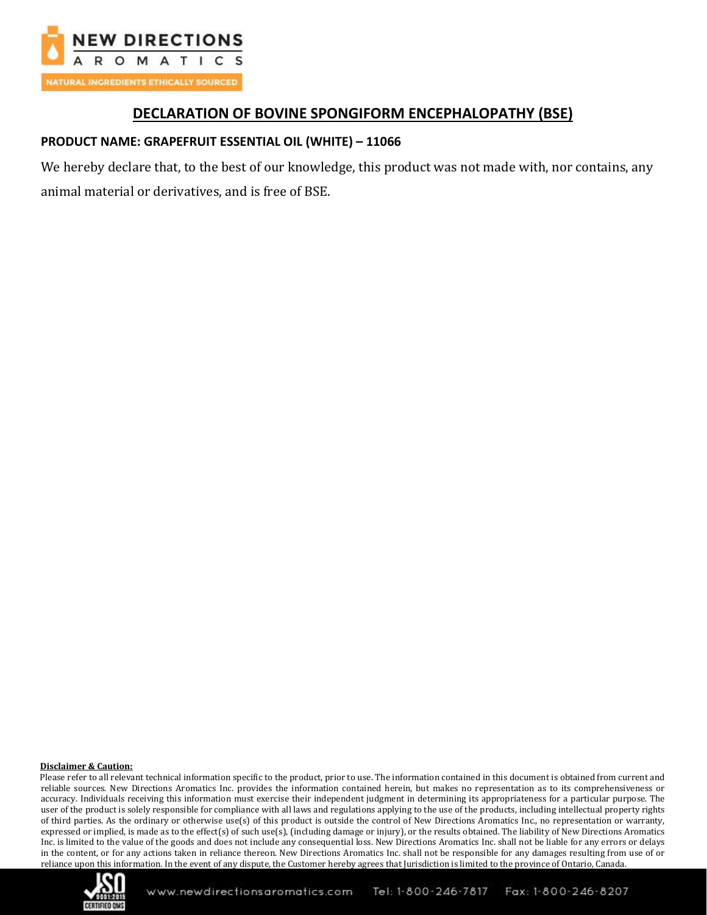

# **DECLARATION OF BOVINE SPONGIFORM ENCEPHALOPATHY (BSE)**

# **PRODUCT NAME: GRAPEFRUIT ESSENTIAL OIL (WHITE) – 11066**

We hereby declare that, to the best of our knowledge, this product was not made with, nor contains, any animal material or derivatives, and is free of BSE.

#### **Disclaimer & Caution:**

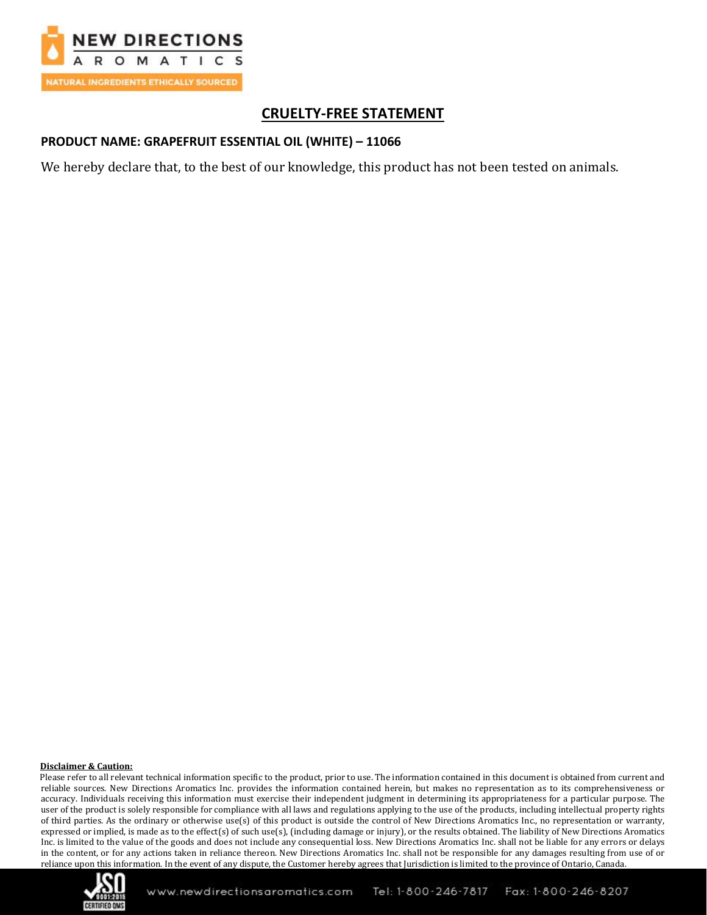

# **CRUELTY-FREE STATEMENT**

### **PRODUCT NAME: GRAPEFRUIT ESSENTIAL OIL (WHITE) – 11066**

We hereby declare that, to the best of our knowledge, this product has not been tested on animals.

#### **Disclaimer & Caution:**

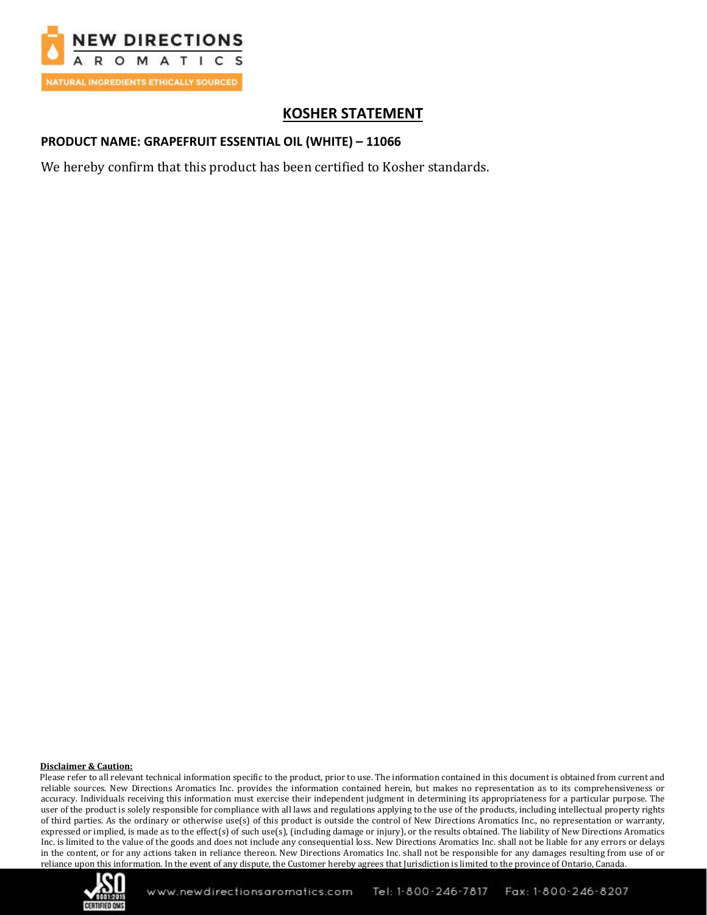

# **KOSHER STATEMENT**

### **PRODUCT NAME: GRAPEFRUIT ESSENTIAL OIL (WHITE) – 11066**

We hereby confirm that this product has been certified to Kosher standards.

#### **Disclaimer & Caution:**

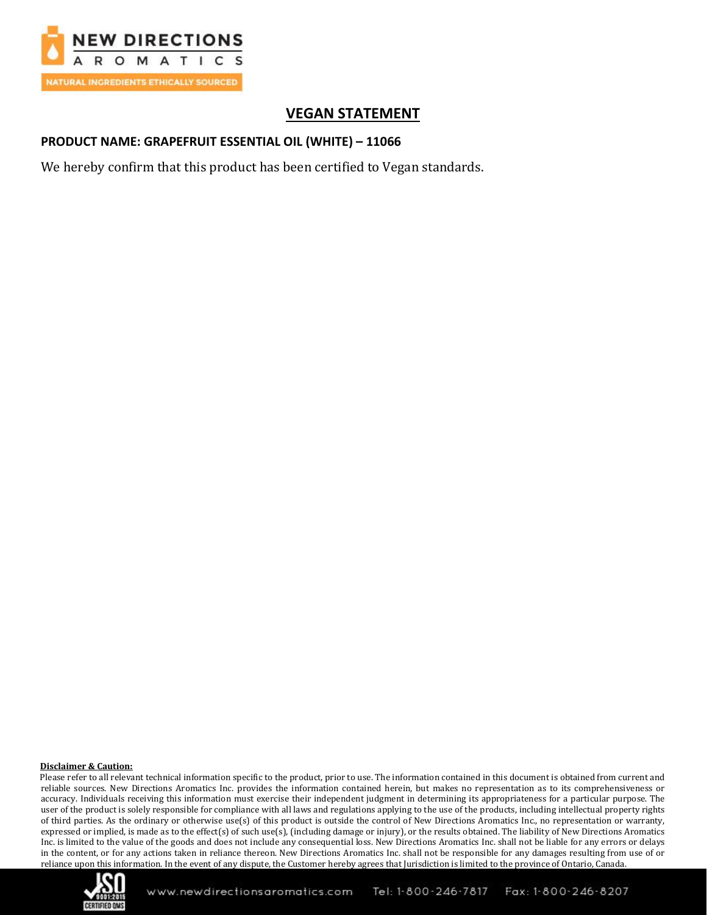

# **VEGAN STATEMENT**

### **PRODUCT NAME: GRAPEFRUIT ESSENTIAL OIL (WHITE) – 11066**

We hereby confirm that this product has been certified to Vegan standards.

#### **Disclaimer & Caution:**

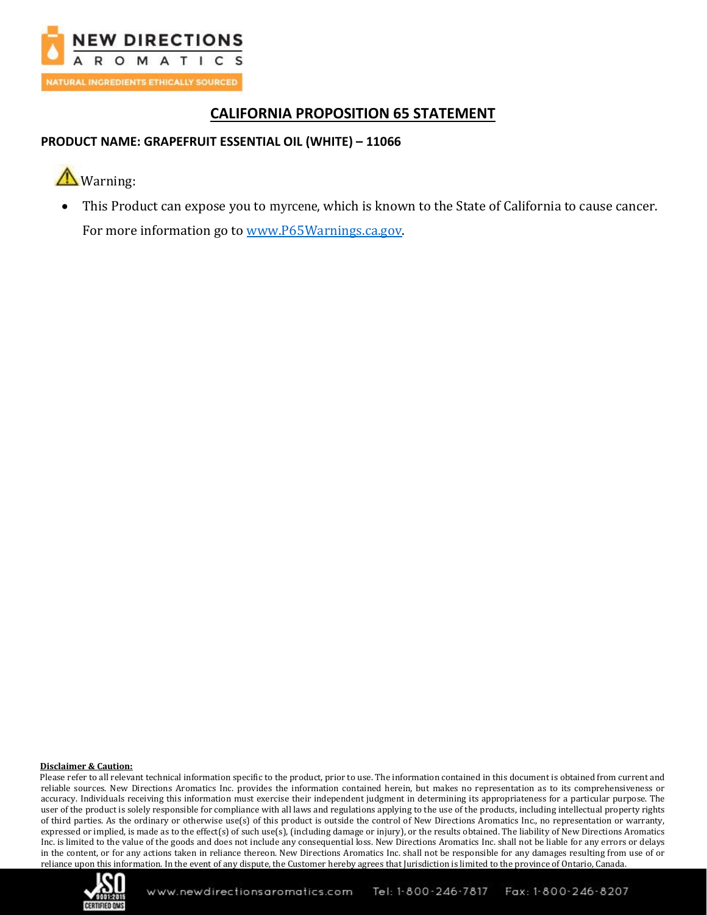

# **CALIFORNIA PROPOSITION 65 STATEMENT**

# **PRODUCT NAME: GRAPEFRUIT ESSENTIAL OIL (WHITE) – 11066**

# **A**Warning:

• This Product can expose you to myrcene, which is known to the State of California to cause cancer. For more information go to [www.P65Warnings.ca.gov.](http://www.p65warnings.ca.gov/)

#### **Disclaimer & Caution:**